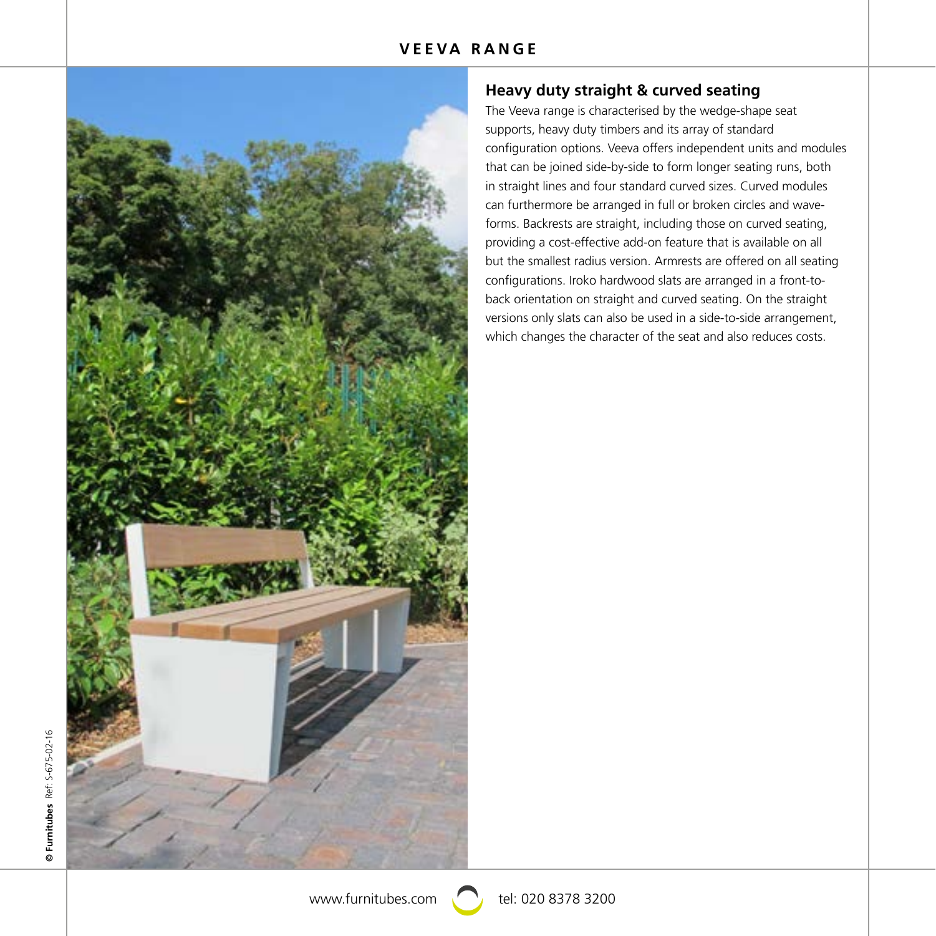

# **Heavy duty straight & curved seating**

The Veeva range is characterised by the wedge-shape seat supports, heavy duty timbers and its array of standard configuration options. Veeva offers independent units and modules that can be joined side-by-side to form longer seating runs, both in straight lines and four standard curved sizes. Curved modules can furthermore be arranged in full or broken circles and waveforms. Backrests are straight, including those on curved seating, providing a cost-effective add-on feature that is available on all but the smallest radius version. Armrests are offered on all seating configurations. Iroko hardwood slats are arranged in a front-toback orientation on straight and curved seating. On the straight versions only slats can also be used in a side-to-side arrangement, which changes the character of the seat and also reduces costs.

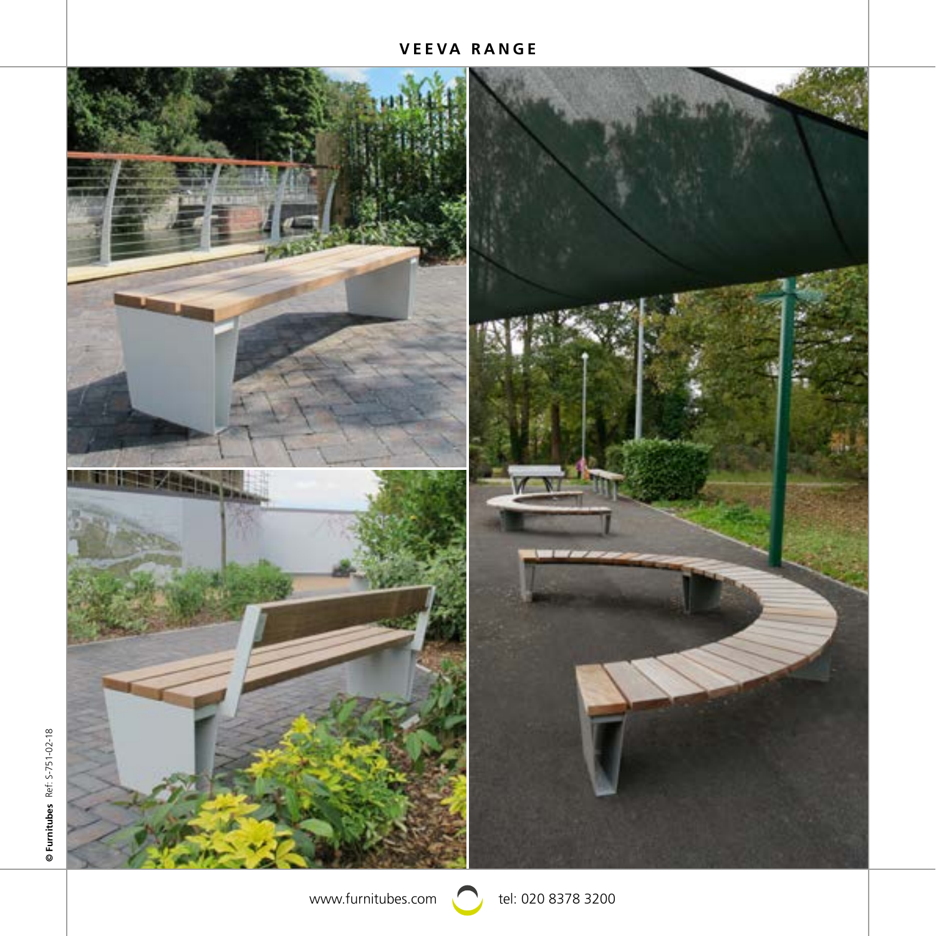# **VEEVA RANGE**



www.furnitubes.com  $\bigcirc$  tel: 020 8378 3200

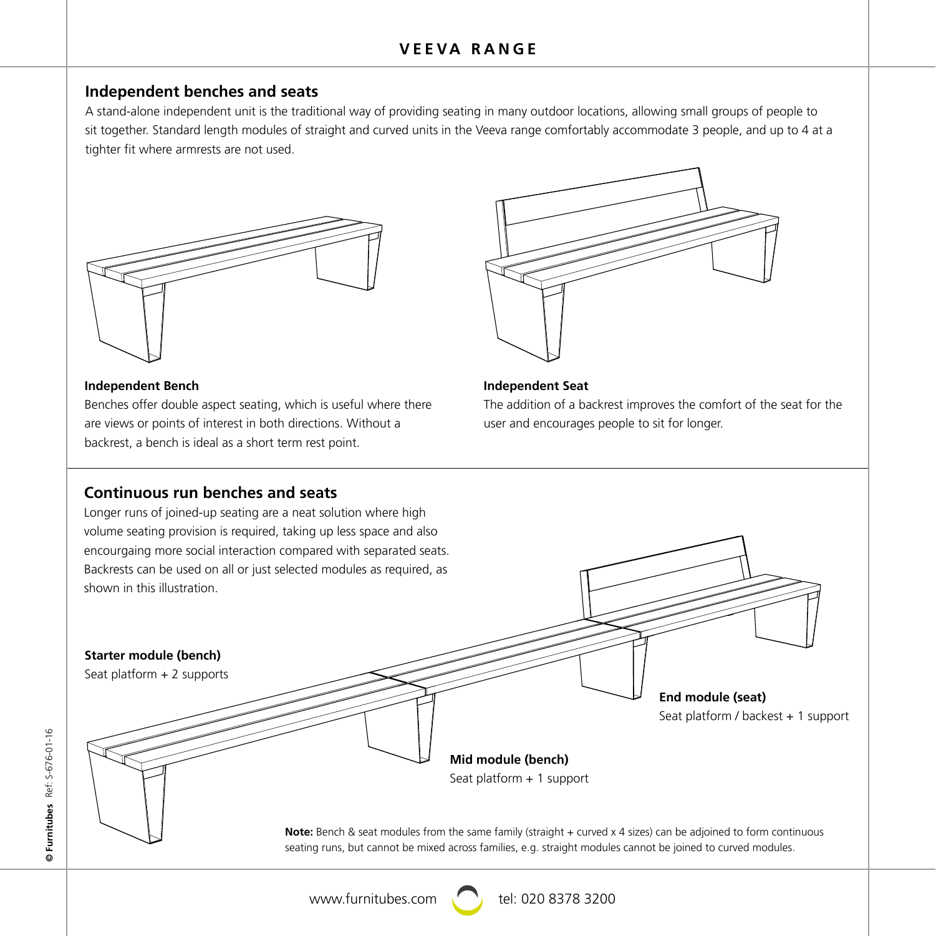# **Independent benches and seats**

A stand-alone independent unit is the traditional way of providing seating in many outdoor locations, allowing small groups of people to sit together. Standard length modules of straight and curved units in the Veeva range comfortably accommodate 3 people, and up to 4 at a tighter fit where armrests are not used.





are views or points of interest in both directions. Without a state and encourages people to sit f<br>and harling to bandh is ideal as a shart tarm rest point. maependent bench<br>Benches offer double aspect seating, which is useful where there backrest, a bench is ideal as a short term rest point.



### **Independent Seat**

The addition of a backrest improves the comfort of the seat for the user and encourages people to sit for longer.

2035 2035

# 1960 1885 1960 **Continuous run benches and seats**

Longer runs of joined-up seating are a neat solution where high volume seating provision is required, taking up less space and also encourgaing more social interaction compared with separated seats. Backrests can be used on all or just selected modules as required, as shown in this illustration.



www.furnitubes.com  $\bigcap$  tel: 020 8378 3200

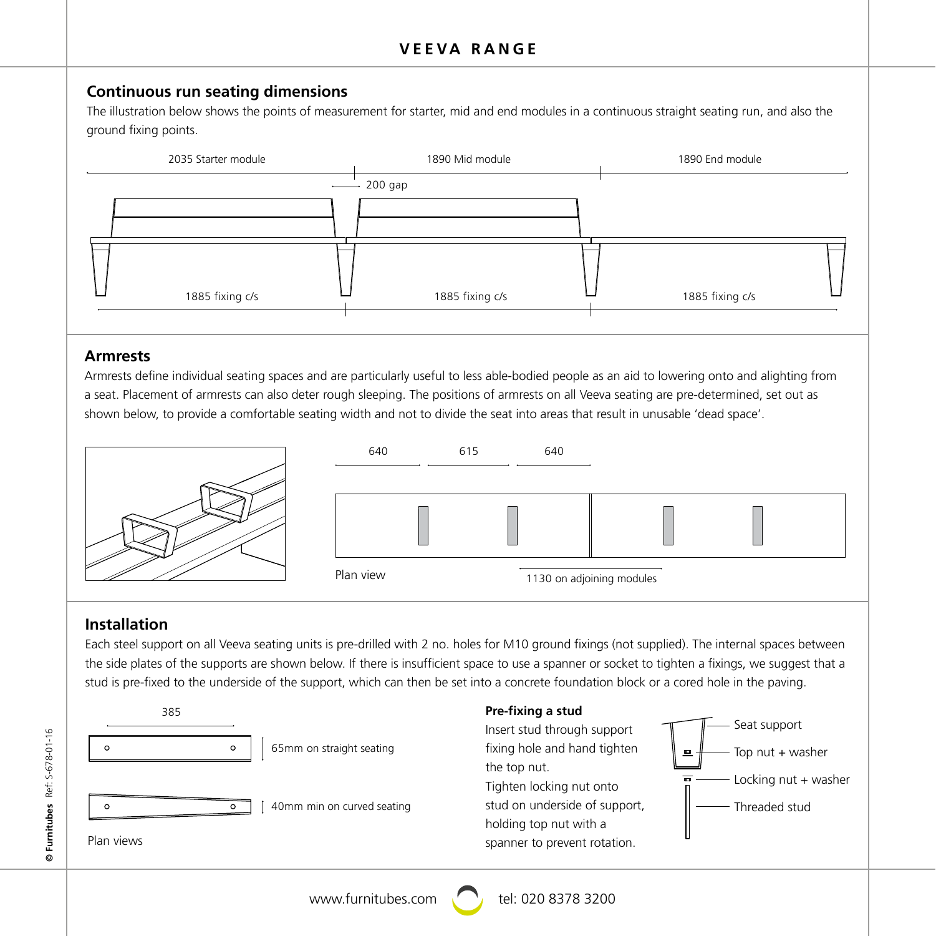# **Continuous run seating dimensions**

The illustration below shows the points of measurement for starter, mid and end modules in a continuous straight seating run, and also the ground fixing points.



### **Armrests**

a seat. Placement of armrests can also deter rough sleeping. The positions of armrests on all Veeva seating are pre-determined, set out as<br>| Armrests define individual seating spaces and are particularly useful to less able-bodied people as an aid to lowering onto and alighting from shown below, to provide a comfortable seating width and not to divide the seat into areas that result in unusable 'dead space'.



# **Installation**

Each steel support on all Veeva seating units is pre-drilled with 2 no. holes for M10 ground fixings (not supplied). The internal spaces between the side plates of the supports are shown below. If there is insufficient space to use a spanner or socket to tighten a fixings, we suggest that a stud is pre-fixed to the underside of the support, which can then be set into a concrete foundation block or a cored hole in the paving.



www.furnitubes.com  $\bigcap$  tel: 020 8378 3200

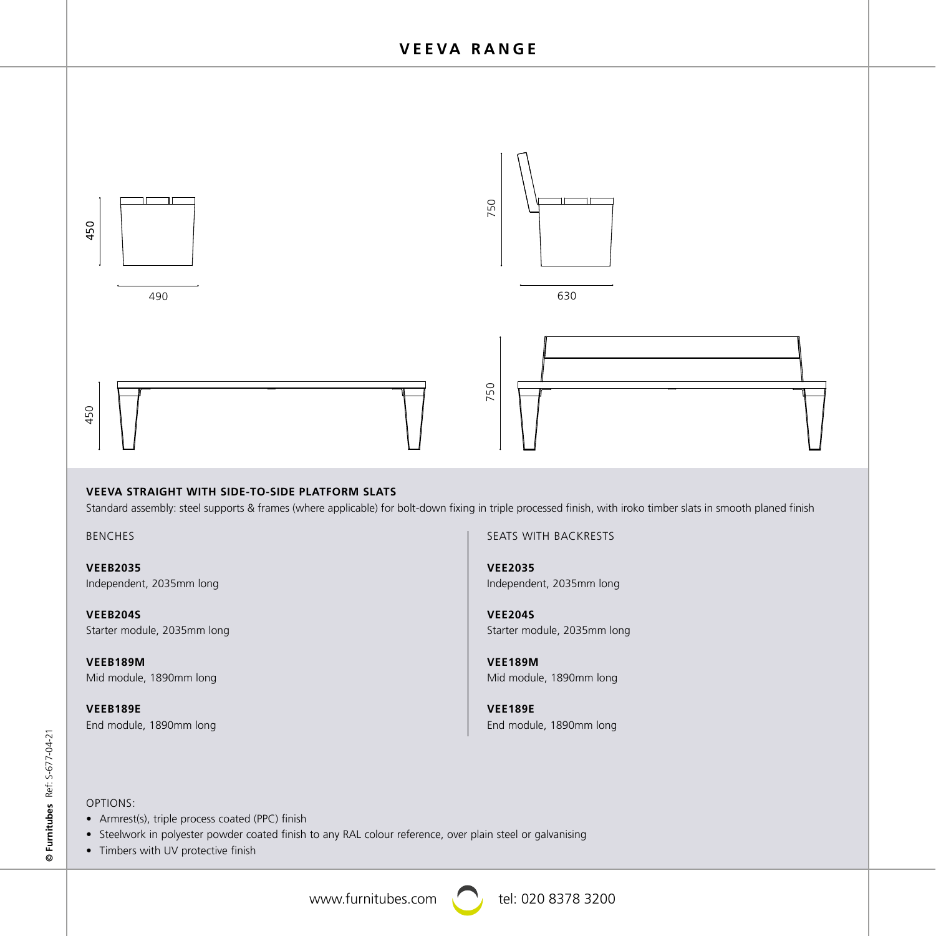

### **VEEVA STRAIGHT WITH SIDE-TO-SIDE PLATFORM SLATS**

vEEVA STRAIGHT WITH SIDE-TO-SIDE PLATFORM SLATS<br>Standard assembly: steel supports & frames (where applicable) for bolt-down fixing in triple processed finish, with iroko timber slats in smooth planed finish

BENCHES

**VEEB2035** Independent, 2035mm long

**VEEB204S** Starter module, 2035mm long

**VEEB189M** Mid module, 1890mm long

**VEEB189E** End module, 1890mm long SEATS WITH BACKRESTS 2035 1890 1890

**VEE2035** Independent, 2035mm long

**VEE204S** Starter module, 2035mm long

1960 1885 1960

**VEE189M** Mid module, 1890mm long

**VEE189E** End module, 1890mm long

2035 1890 1890

1960 1885

1960 1885 1960

### OPTIONS:

- Armrest(s), triple process coated (PPC) finish
- Steelwork in polyester powder coated finish to any RAL colour reference, over plain steel or galvanising
- Timbers with UV protective finish

www.furnitubes.com  $\bigcap$  tel: 020 8378 3200

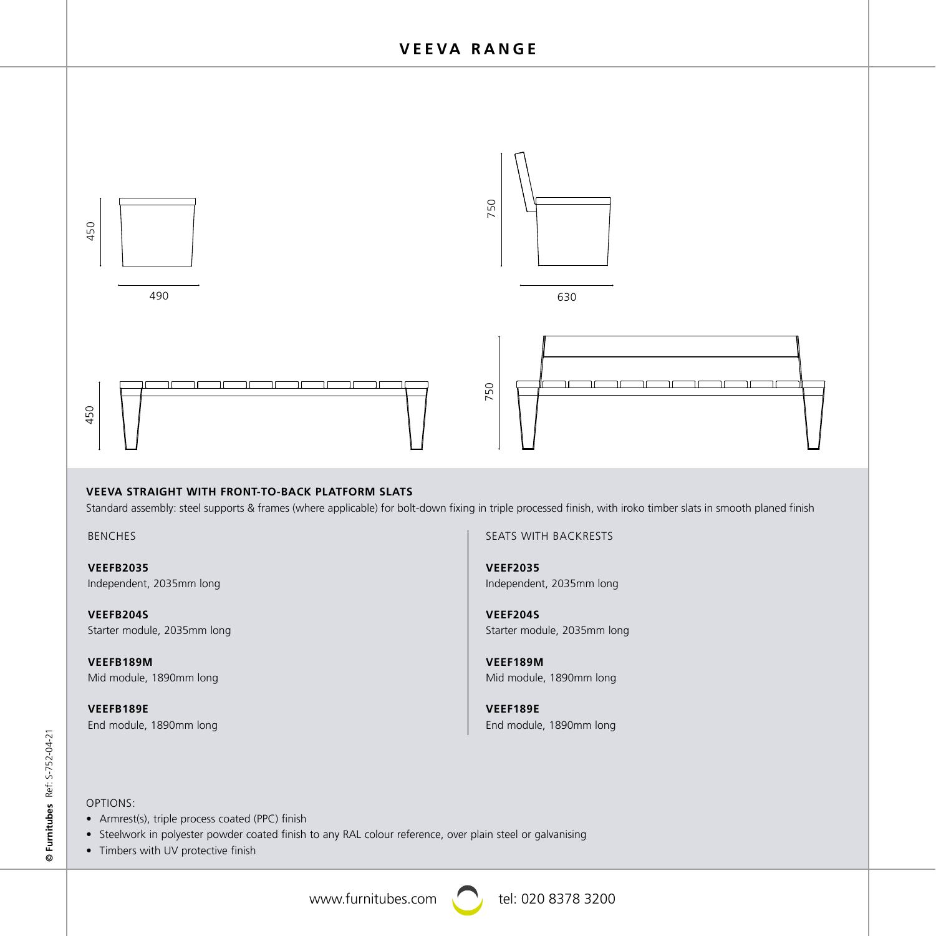

### **VEEVA STRAIGHT WITH FRONT-TO-BACK PLATFORM SLATS**

Standard assembly: steel supports & frames (where applicable) for bolt-down fixing in triple processed finish, with iroko timber slats in smooth planed finish 5805

BENCHES 2035 1890 1890

> **VEEFB2035** Independent, 2035mm long

**VEEFB204S** Starter module, 2035mm long 1960 1885 1960

> **VEEFB189M** Mid module, 1890mm long

> **VEEFB189E** End module, 1890mm long

SEATS WITH BACKRESTS

**VEEF2035** Independent, 2035mm long 2035 1890 1890

1960 1885 1960

1960 1885

1960

**VEEF204S** Starter module, 2035mm long

**VEEF189M** Mid module, 1890mm long<br>

en and the same of the same of the same of the same of the same of the same of the same of the same of the same of the same of the same of the same of the same of the same of the same of the same of the same of the same o End module, 1890mm long 2035 1890 1890

## OPTIONS:

- Armrest(s), triple process coated (PPC) finish
- Armrest(s), tripie process coated (PPC) finish<br>• Steelwork in polyester powder coated finish to any RAL colour reference, over plain steel or galvanising
- Timbers with UV protective finish

www.furnitubes.com  $\bigcap$  tel: 020 8378 3200



1960 1885 1960

1960 1885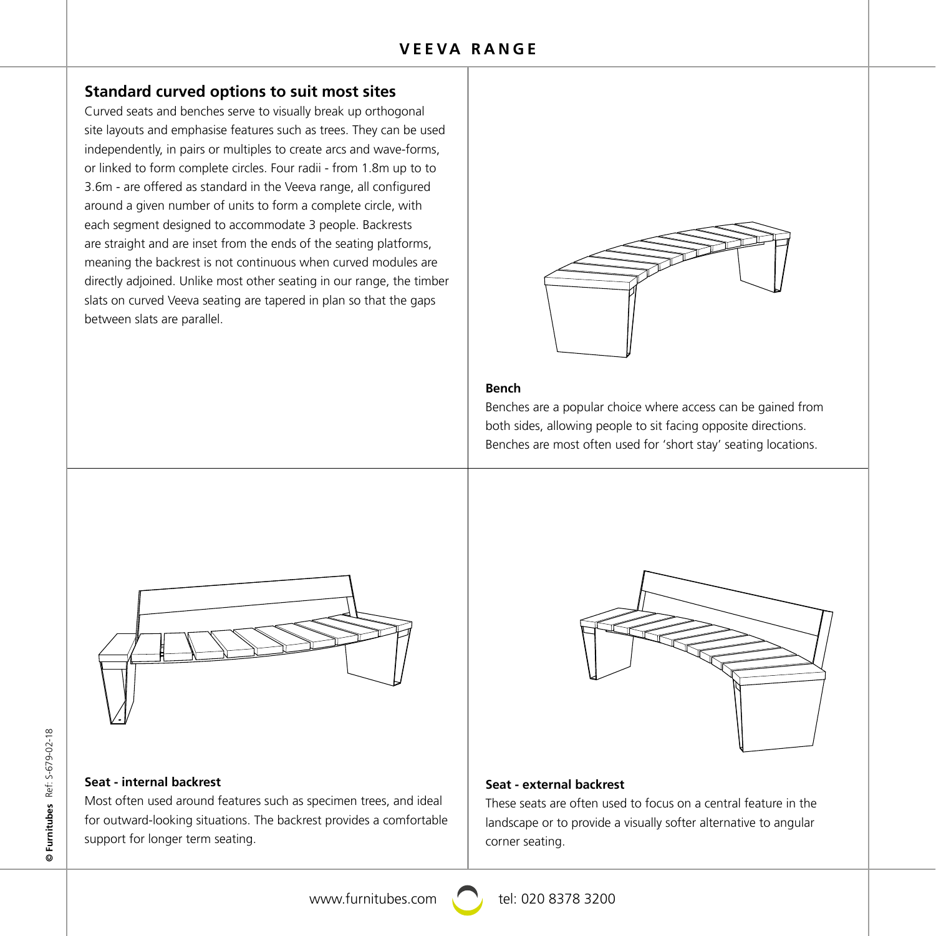# **Standard curved options to suit most sites**

Curved seats and benches serve to visually break up orthogonal site layouts and emphasise features such as trees. They can be used independently, in pairs or multiples to create arcs and wave-forms, or linked to form complete circles. Four radii - from 1.8m up to to 3.6m - are offered as standard in the Veeva range, all configured around a given number of units to form a complete circle, with each segment designed to accommodate 3 people. Backrests are straight and are inset from the ends of the seating platforms, meaning the backrest is not continuous when curved modules are directly adjoined. Unlike most other seating in our range, the timber slats on curved Veeva seating are tapered in plan so that the gaps between slats are parallel.



### **Bench**

Benches are a popular choice where access can be gained from both sides, allowing people to sit facing opposite directions. Benches are most often used for 'short stay' seating locations.



# 640 615 1130 640 615 1130

640 615 640

640 615 640

640 615 640

### **Seat - internal backrest**

Most often used around features such as specimen trees, and ideal for outward-looking situations. The backrest provides a comfortable support for longer term seating.

### **Seat - external backrest**

These seats are often used to focus on a central feature in the landscape or to provide a visually softer alternative to angular corner seating.

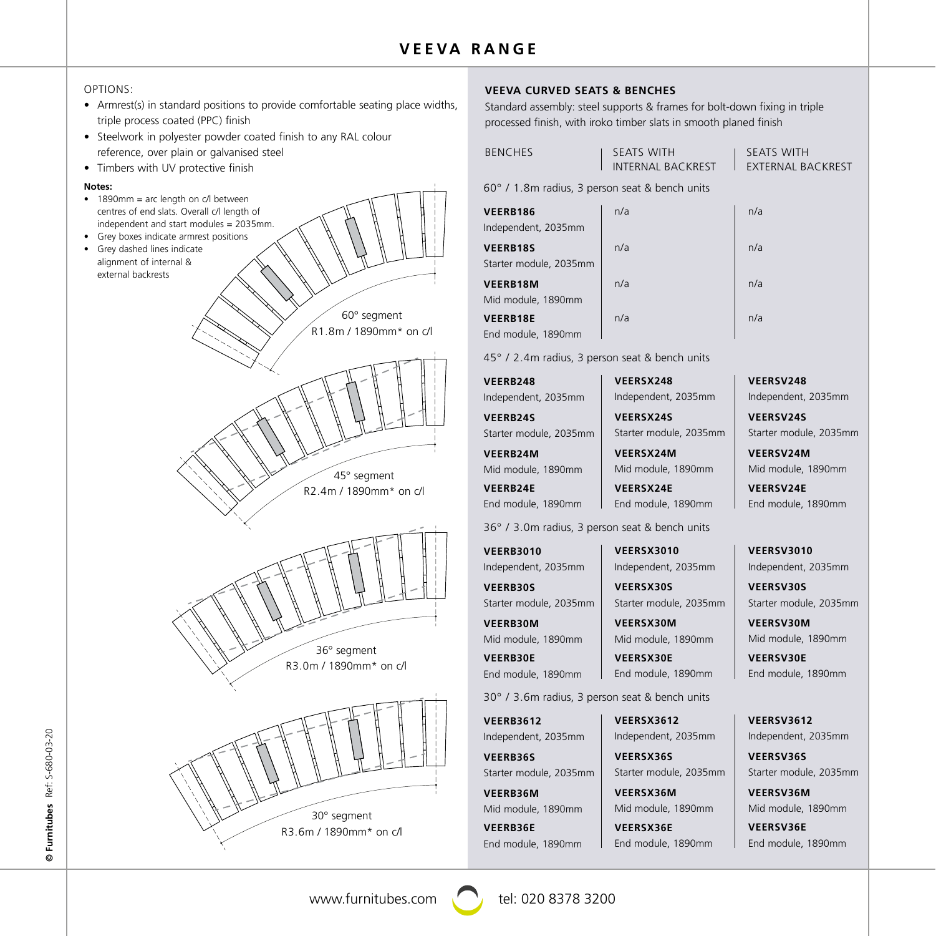### OPTIONS:

- Armrest(s) in standard positions to provide comfortable seating place widths, triple process coated (PPC) finish
- Steelwork in polyester powder coated finish to any RAL colour reference, over plain or galvanised steel
- Timbers with UV protective finish

### **Notes:**

- 1890mm = arc length on c/l between centres of end slats. Overall c/l length of independent and start modules = 2035mm.
- Grey boxes indicate armrest positions
- Grey dashed lines indicate alignment of internal & external backrests





### **VEEVA CURVED SEATS & BENCHES**

Standard assembly: steel supports & frames for bolt-down fixing in triple processed finish, with iroko timber slats in smooth planed finish

| <b>BENCHES</b> | I SEATS WITH        | SEATS WITH        |
|----------------|---------------------|-------------------|
|                | I INTERNAL BACKREST | EXTERNAL BACKREST |

60° / 1.8m radius, 3 person seat & bench units

| VEERB186               | n/a | n/a |
|------------------------|-----|-----|
| Independent, 2035mm    |     |     |
| <b>VEERB18S</b>        | n/a | n/a |
| Starter module, 2035mm |     |     |
| <b>VEERB18M</b>        | n/a | n/a |
| Mid module, 1890mm     |     |     |
| <b>VEERB18E</b>        | n/a | n/a |
| End module, 1890mm     |     |     |

45° / 2.4m radius, 3 person seat & bench units

**VEERB248** Independent, 2035mm **VEERB24S** Starter module, 2035mm **VEERB24M** Mid module, 1890mm

**VEERB24E** End module, 1890mm

36° / 3.0m radius, 3 person seat & bench units

**VEERB3010** Independent, 2035mm

**VEERB30S** Starter module, 2035mm

**VEERB30M** Mid module, 1890mm

**VEERB30E** End module, 1890mm 30° / 3.6m radius, 3 person seat & bench units **VEERSX30E** End module, 1890mm

**VEERB3612** Independent, 2035mm

**VEERB36S** Starter module, 2035mm

**VEERB36M** Mid module, 1890mm **VEERB36E** End module, 1890mm **VEERSX248** Independent, 2035mm **VEERSX24S** Starter module, 2035mm

**VEERSX24M**

Mid module, 1890mm **VEERSX24E** End module, 1890mm

Starter module, 2035mm

**VEERSX3010** Independent, 2035mm **VEERSX30S**

**VEERSX30M** Mid module, 1890mm

**VEERSX3612** Independent, 2035mm **VEERSX36S** Starter module, 2035mm

**VEERSX36M** Mid module, 1890mm **VEERSX36E** End module, 1890mm

Mid module, 1890mm **VEERSV24E** End module, 1890mm

**VEERSV24M**

**VEERSV248** Independent, 2035mm **VEERSV24S** Starter module, 2035mm

**VEERSV3010** Independent, 2035mm

**VEERSV30S** Starter module, 2035mm

**VEERSV30M** Mid module, 1890mm **VEERSV30E**

End module, 1890mm

**VEERSV3612** Independent, 2035mm

**VEERSV36S** Starter module, 2035mm

**VEERSV36M** Mid module, 1890mm

**VEERSV36E** End module, 1890mm

Furnitubes Ref: S-680-03-20 Ref: S-680-03-20 **© Furnitubes**

640 615 640



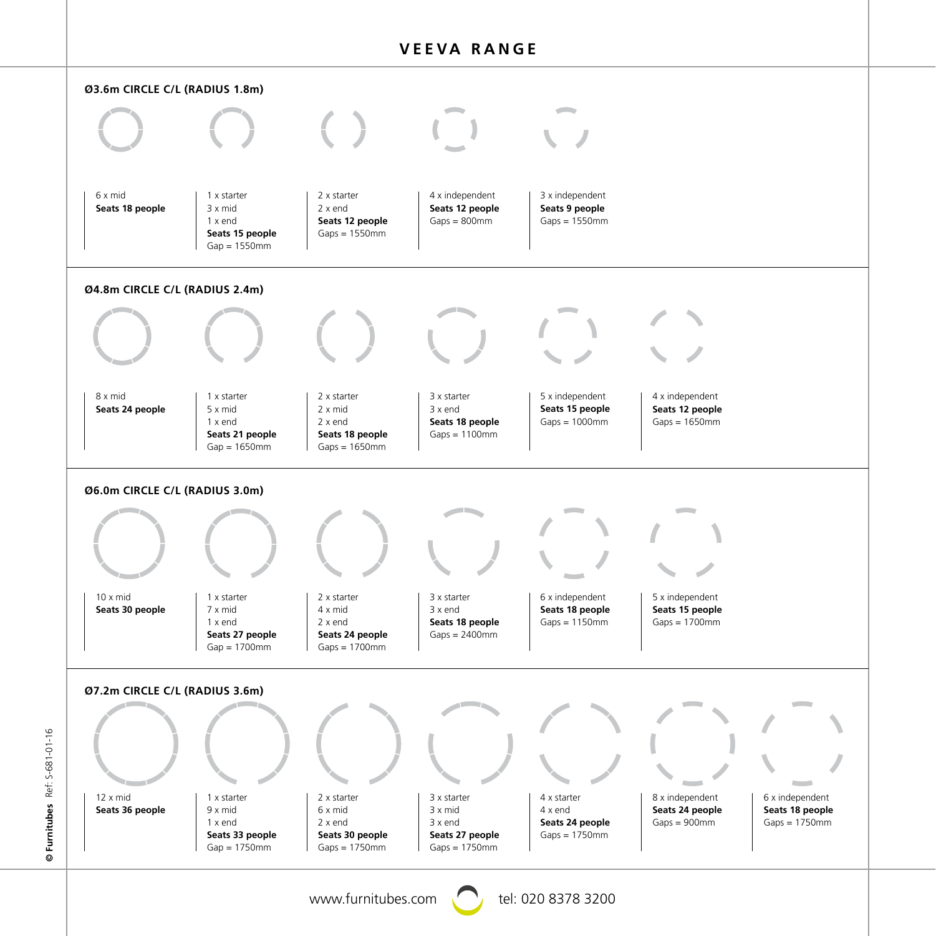

Furnitubes Ref: S-681-01-16 Ref: S-681-01-16 **© Furnitubes**

www.furnitubes.com  $\bigcirc$  tel: 020 8378 3200